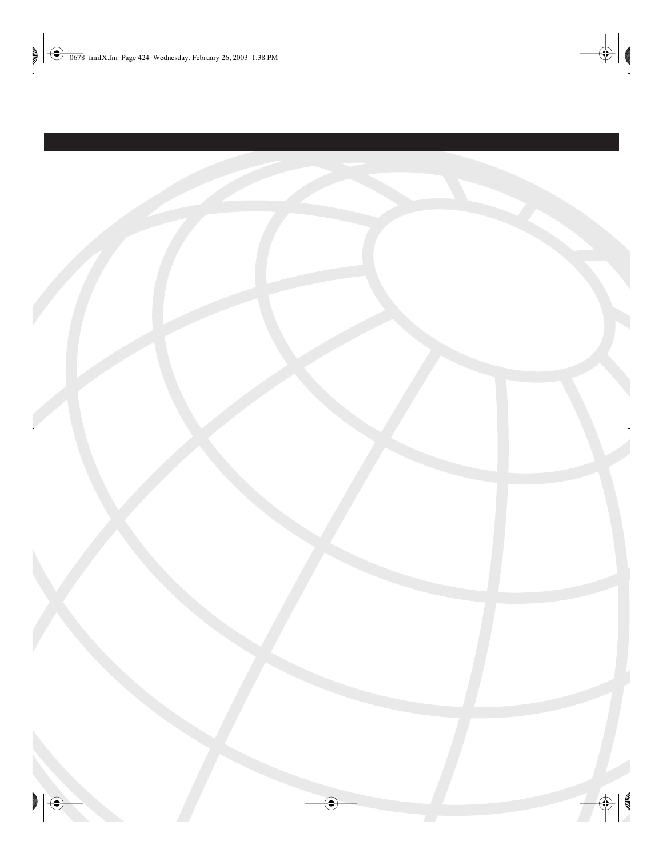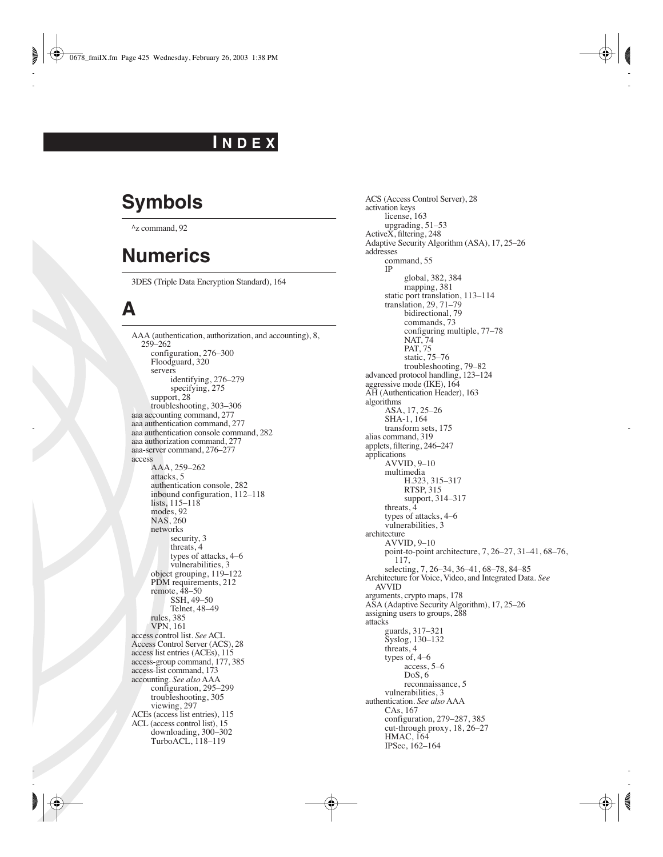#### **I N D E X**

# **Symbols**

^z command, 92

# **Numerics**

3DES (Triple Data Encryption Standard), 164

## **A**

AAA (authentication, authorization, and accounting), 8, 259–262 configuration, 276–300 Floodguard, 320 servers<br>identifying, 276–279 specifying, 275 support, 28 troubleshooting, 303–306 aaa accounting command, 277 aaa authentication command, 277 aaa authentication console command, 282 aaa authorization command, 277 aaa-server command, 276–277 access<br>AAA, 259–262 attacks, 5 authentication console, 282 inbound configuration, 112–118 lists, 115–118 modes, 92 NAS, 260 networks security, 3 threats, 4 types of attacks, 4–6 vulnerabilities, 3 object grouping, 119–122 PDM requirements, 212 remote, 48–50 SSH, 49–50 Telnet, 48–49 rules, 385 VPN, 161 access control list. *See* ACL Access Control Server (ACS), 28 access list entries (ACEs), 115 access-group command, 177, 385 access-list command, 173 accounting. *See also* AAA configuration, 295–299 troubleshooting, 305 viewing, 297 ACEs (access list entries), 115 ACL (access control list), 15 downloading, 300–302 TurboACL, 118–119

ACS (Access Control Server), 28 activation keys license, 163 upgrading, 51–53 Active $X$ , filtering, 248 Adaptive Security Algorithm (ASA), 17, 25–26 addresses command, 55 IP global, 382, 384 mapping, 381 static port translation, 113–114 translation, 29, 71–79 bidirectional, 79 commands, 73 configuring multiple, 77–78 NAT, 74 PAT, 75 static, 75–76 troubleshooting, 79–82 advanced protocol handling, 123–124 aggressive mode (IKE), 164 AH (Authentication Header), 163 algorithms ASA, 17, 25–26 SHA-1, 164 transform sets, 175 alias command, 319 applets, filtering, 246–247 applications AVVID, 9–10 multimedia H.323, 315–317 RTSP, 315 support, 314–317 threats, 4 types of attacks, 4–6 vulnerabilities, 3 architecture AVVID, 9–10 point-to-point architecture, 7, 26–27, 31–41, 68–76, 117, selecting, 7, 26–34, 36–41, 68–78, 84–85 Architecture for Voice, Video, and Integrated Data. *See*  AVVID arguments, crypto maps, 178 ASA (Adaptive Security Algorithm), 17, 25–26 assigning users to groups, 288 attacks guards, 317–321 Syslog, 130–132 threats, 4 types of, 4–6 access, 5–6  $DoS.6$ reconnaissance, 5 vulnerabilities, 3 authentication. *See also* AAA CAs, 167 configuration, 279–287, 385 cut-through proxy, 18, 26–27 HMAC, 164 IPSec, 162–164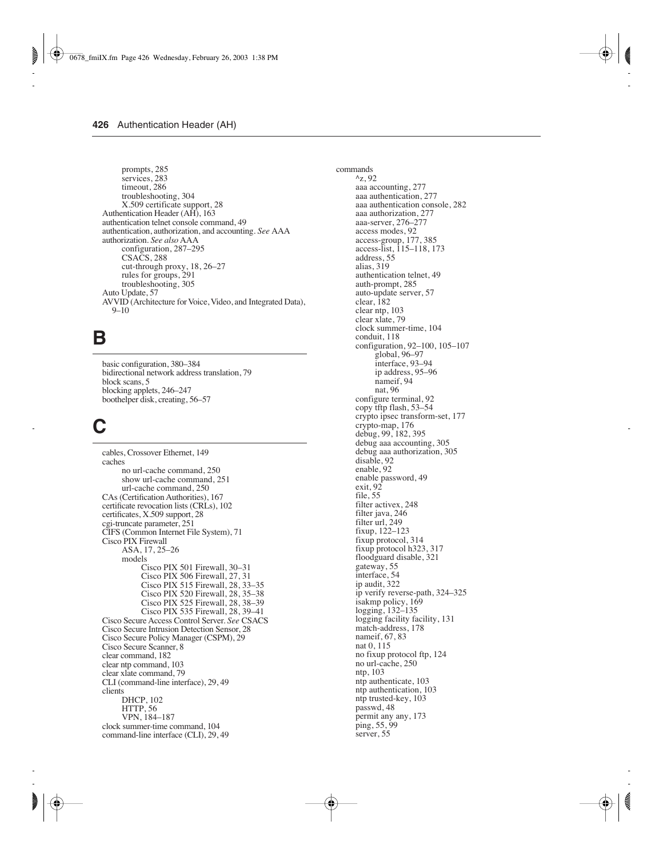prompts, 285 services, 283 timeout, 286 troubleshooting, 304 X.509 certificate support, 28 Authentication Header (AH), 163 authentication telnet console command, 49 authentication, authorization, and accounting. *See* AAA authorization. *See also* AAA configuration, 287–295 CSACS, 288 cut-through proxy, 18, 26–27 rules for groups, 291 troubleshooting, 305 Auto Update, 57 AVVID (Architecture for Voice, Video, and Integrated Data), 9–10

#### **B**

basic configuration, 380–384 bidirectional network address translation, 79 block scans, 5 blocking applets, 246–247 boothelper disk, creating, 56–57

# **C**

cables, Crossover Ethernet, 149 caches no url-cache command, 250 show url-cache command, 251 url-cache command, 250 CAs (Certification Authorities), 167 certificate revocation lists (CRLs), 102 certificates, X.509 support, 28 cgi-truncate parameter, 251 CIFS (Common Internet File System), 71 Cisco PIX Firewall ASA, 17, 25–26 models Cisco PIX 501 Firewall, 30–31 Cisco PIX 506 Firewall, 27, 31 Cisco PIX 515 Firewall, 28, 33–35 Cisco PIX 520 Firewall, 28, 35–38 Cisco PIX 525 Firewall, 28, 38–39 Cisco PIX 535 Firewall, 28, 39–41 Cisco Secure Access Control Server. *See* CSACS Cisco Secure Intrusion Detection Sensor, 28 Cisco Secure Policy Manager (CSPM), 29 Cisco Secure Scanner, 8 clear command, 182 clear ntp command, 103 clear xlate command, 79 CLI (command-line interface), 29, 49 clients DHCP, 102 HTTP, 56 VPN, 184–187 clock summer-time command, 104 command-line interface (CLI), 29, 49

commands  $^{\wedge}Z$ , 92 aaa accounting, 277 aaa authentication, 277 aaa authentication console, 282 aaa authorization, 277 aaa-server, 276–277 access modes, 92 access-group, 177, 385 access-list, 115–118, 173 address, 55 alias, 319 authentication telnet, 49 auth-prompt, 285 auto-update server, 57 clear, 182 clear ntp, 103 clear xlate, 79 clock summer-time, 104 conduit, 118 configuration, 92–100, 105–107 global, 96–97 interface, 93–94 ip address, 95–96 nameif, 94 nat, 96 configure terminal, 92 copy tftp flash, 53–54 crypto ipsec transform-set, 177 crypto-map, 176 debug, 99, 182, 395 debug aaa accounting, 305 debug aaa authorization, 305 disable, 92 enable, 92 enable password, 49 exit, 92 file, 55 filter activex, 248 filter java, 246 filter url, 249 fixup, 122–123 fixup protocol, 314 fixup protocol h323, 317 floodguard disable, 321 gateway, 55 interface, 54 ip audit, 322 ip verify reverse-path, 324–325 isakmp policy, 169 logging, 132–135 logging facility facility, 131 match-address, 178 nameif, 67, 83 nat 0, 115 no fixup protocol ftp, 124 no url-cache, 250 ntp, 103 ntp authenticate, 103 ntp authentication, 103 ntp trusted-key, 103 passwd, 48 permit any any, 173 ping, 55, 99 server, 55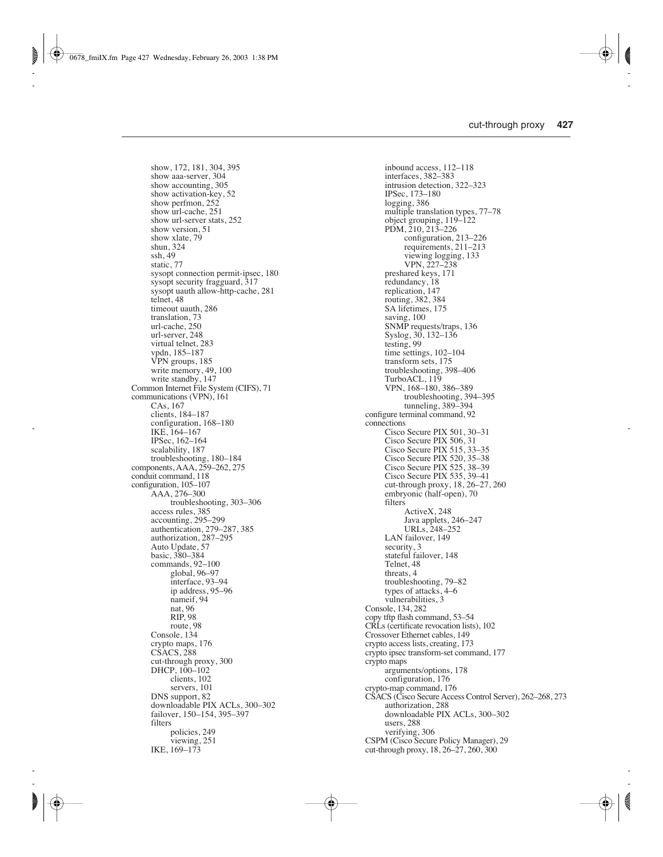show, 172, 181, 304, 395 show aaa-server, 304 show accounting, 305 show activation-key, 52 show perfmon, 252 show url-cache, 251 show url-server stats, 252 show version, 51 show xlate, 79 shun, 324 ssh, 49 static, 77 sysopt connection permit-ipsec, 180 sysopt security fragguard, 317 sysopt uauth allow-http-cache, 281 telnet, 48 timeout uauth, 286 translation, 73 url-cache, 250 url-server, 248 virtual telnet, 283 vpdn, 185–187 VPN groups, 185 write memory, 49, 100 write standby, 147 Common Internet File System (CIFS), 71 communications (VPN), 161 CAs, 167 clients, 184–187 configuration, 168–180 IKE, 164–167 IPSec, 162–164 scalability, 187 troubleshooting, 180–184 components, AAA, 259–262, 275 conduit command, 118 configuration, 105–107 AAA, 276–300 troubleshooting, 303–306 access rules, 385 accounting, 295–299 authentication, 279–287, 385 authorization, 287–295 Auto Update, 57 basic, 380–384 commands, 92–100 global, 96–97 interface, 93–94 ip address, 95–96 nameif, 94 nat, 96 RIP, 98 route, 98 Console, 134 crypto maps, 176  $\overline{\text{CSACS}}$ , 288 cut-through proxy, 300 DHCP, 100–102 clients, 102 servers, 101 DNS support, 82 downloadable PIX ACLs, 300–302 failover, 150–154, 395–397 filters policies, 249 viewing, 251 IKE, 169–173

inbound access, 112–118 interfaces, 382–383 intrusion detection, 322–323 IPSec, 173–180 logging, 386 multiple translation types, 77–78 object grouping, 119–122 PDM, 210, 213–226 configuration, 213–226 requirements, 211–213 viewing logging, 133 VPN, 227–238 preshared keys, 171 redundancy, 18 replication, 147 routing, 382, 384 SA lifetimes, 175 saving, 100 SNMP requests/traps, 136 Syslog, 30, 132–136 testing, 99 time settings, 102–104 transform sets, 175 troubleshooting, 398–406 TurboACL, 119 VPN, 168–180, 386–389 troubleshooting, 394–395 tunneling, 389–394 configure terminal command, 92 connections Cisco Secure PIX 501, 30–31 Cisco Secure PIX 506, 31 Cisco Secure PIX 515, 33–35 Cisco Secure PIX 520, 35–38 Cisco Secure PIX 525, 38–39 Cisco Secure PIX 535, 39–41 cut-through proxy, 18, 26–27, 260 embryonic (half-open), 70 filters ActiveX, 248 Java applets, 246–247 URLs, 248–252 LAN failover, 149 security, 3 stateful failover, 148 Telnet, 48 threats, 4 troubleshooting, 79–82 types of attacks, 4–6 vulnerabilities, 3 Console, 134, 282 copy tftp flash command, 53–54 CRLs (certificate revocation lists), 102 Crossover Ethernet cables, 149 crypto access lists, creating, 173 crypto ipsec transform-set command, 177 crypto maps arguments/options, 178 configuration, 176 crypto-map command, 176 CSACS (Cisco Secure Access Control Server), 262–268, 273 authorization, 288 downloadable PIX ACLs, 300–302 users, 288 verifying, 306 CSPM (Cisco Secure Policy Manager), 29 cut-through proxy, 18, 26–27, 260, 300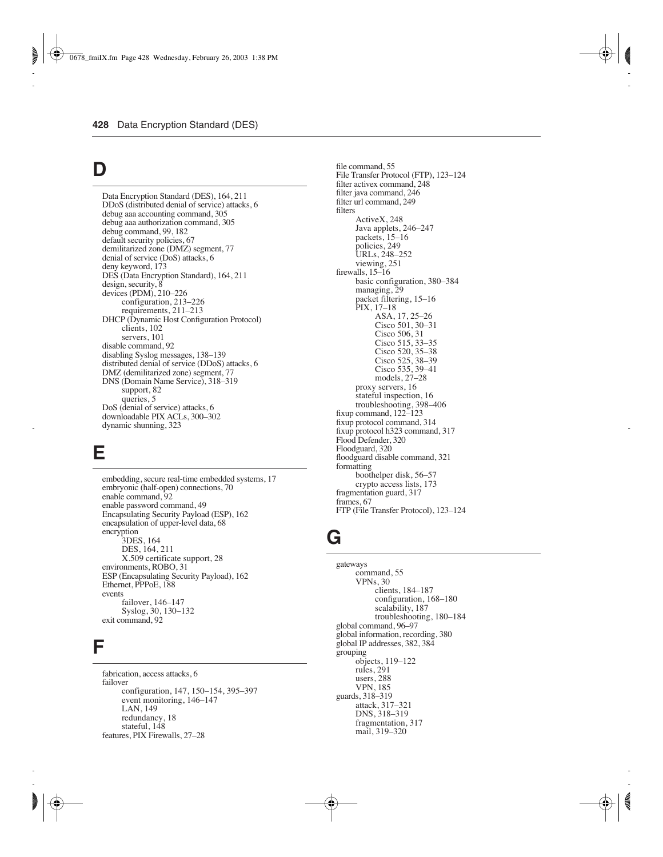#### **D**

Data Encryption Standard (DES), 164, 211 DDoS (distributed denial of service) attacks, 6 debug aaa accounting command, 305 debug aaa authorization command, 305 debug command, 99, 182 default security policies, 67 demilitarized zone (DMZ) segment, 77 denial of service (DoS) attacks, 6 deny keyword, 173 DES (Data Encryption Standard), 164, 211 design, security, 8 devices (PDM), 210–226 configuration, 213–226 requirements, 211–213 DHCP (Dynamic Host Configuration Protocol) clients, 102 servers, 101 disable command, 92 disabling Syslog messages, 138–139 distributed denial of service (DDoS) attacks, 6 DMZ (demilitarized zone) segment, 77 DNS (Domain Name Service), 318–319 support, 82 queries, 5 DoS (denial of service) attacks, 6 downloadable PIX ACLs, 300–302 dynamic shunning, 323

#### **E**

embedding, secure real-time embedded systems, 17 embryonic (half-open) connections, 70 enable command, 92 enable password command, 49 Encapsulating Security Payload (ESP), 162 encapsulation of upper-level data, 68 encryption 3DES, 164 DES, 164, 211 X.509 certificate support, 28 environments, ROBO, 31 ESP (Encapsulating Security Payload), 162 Ethernet, PPPoE, 188 events failover, 146–147 Syslog, 30, 130–132 exit command, 92

# **F**

fabrication, access attacks, 6 failover configuration, 147, 150–154, 395–397 event monitoring, 146–147 LAN, 149 redundancy, 18 stateful, 148 features, PIX Firewalls, 27–28

file command, 55 File Transfer Protocol (FTP), 123–124 filter activex command, 248 filter java command, 246 filter url command, 249 filters ActiveX, 248 Java applets, 246–247 packets, 15–16 policies, 249 URLs, 248–252 viewing, 251 firewalls, 15–16 basic configuration, 380–384 managing, 29 packet filtering, 15–16 PIX, 17–18 ASA, 17, 25–26 Cisco 501, 30–31 Cisco 506, 31 Cisco 515, 33–35 Cisco 520, 35–38 Cisco 525, 38–39 Cisco 535, 39–41 models, 27–28 proxy servers, 16 stateful inspection, 16 troubleshooting, 398–406 fixup command, 122–123 fixup protocol command, 314 fixup protocol h323 command, 317 Flood Defender, 320 Floodguard, 320 floodguard disable command, 321 formatting boothelper disk, 56–57 crypto access lists, 173 fragmentation guard, 317 frames, 67 FTP (File Transfer Protocol), 123–124

## **G**

gateways command, 55 VPNs, 30 clients, 184–187 configuration, 168–180 scalability, 187 troubleshooting, 180–184 global command, 96–97 global information, recording, 380 global IP addresses, 382, 384 grouping objects, 119–122 rules, 291 users, 288 VPN, 185 guards, 318–319 attack, 317–321 DNS, 318–319 fragmentation, 317 mail, 319–320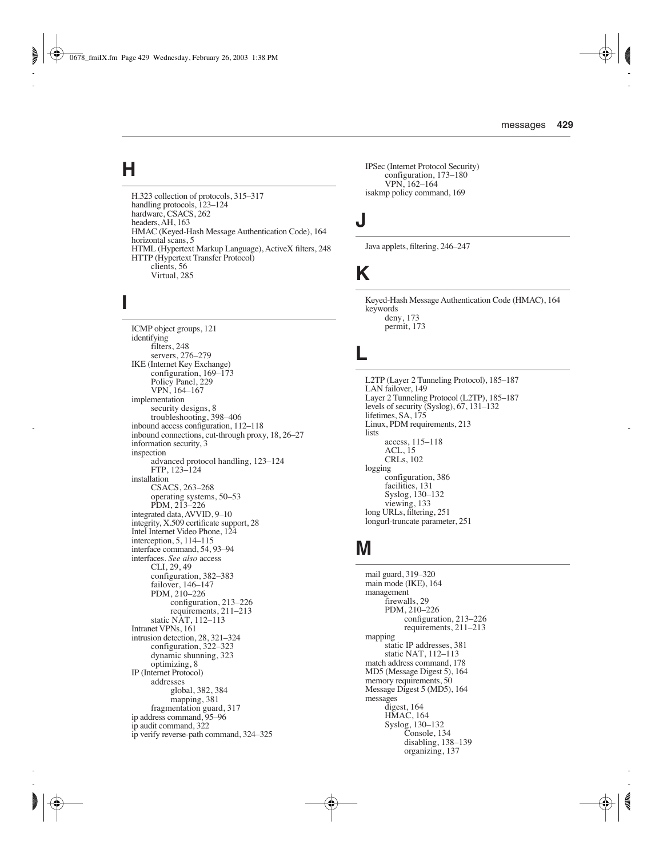# **H**

H.323 collection of protocols, 315–317 handling protocols, 123–124 hardware, CSACS, 262 headers, AH, 163 HMAC (Keyed-Hash Message Authentication Code), 164 horizontal scans, 5 HTML (Hypertext Markup Language), ActiveX filters, 248 HTTP (Hypertext Transfer Protocol) clients, 56 Virtual, 285

## **I**

ICMP object groups, 121 identifying filters, 248 servers, 276–279 IKE (Internet Key Exchange) configuration, 169–173 Policy Panel, 229 VPN, 164–167 implementation security designs, 8 troubleshooting, 398–406 inbound access configuration, 112–118 inbound connections, cut-through proxy, 18, 26–27 information security, 3 inspection advanced protocol handling, 123–124 FTP, 123–124 installation CSACS, 263–268 operating systems, 50–53 PDM, 213–226 integrated data, AVVID, 9–10 integrity, X.509 certificate support, 28 Intel Internet Video Phone, 124 interception, 5, 114–115 interface command, 54, 93–94 interfaces. *See also* access CLI, 29, 49 configuration, 382–383 failover, 146–147 PDM, 210–226 configuration, 213–226 requirements, 211–213 static NAT, 112–113 Intranet VPNs, 161 intrusion detection, 28, 321–324 configuration, 322–323 dynamic shunning, 323 optimizing, 8 IP (Internet Protocol) addresses global, 382, 384 mapping, 381 fragmentation guard, 317 ip address command, 95–96 ip audit command, 322 ip verify reverse-path command, 324–325

IPSec (Internet Protocol Security) configuration, 173–180 VPN, 162–164 isakmp policy command, 169

#### **J**

Java applets, filtering, 246–247

#### **K**

Keyed-Hash Message Authentication Code (HMAC), 164 keywords deny, 173 permit, 173

#### **L**

L2TP (Layer 2 Tunneling Protocol), 185–187 LAN failover, 149 Layer 2 Tunneling Protocol (L2TP), 185–187 levels of security (Syslog), 67, 131–132 lifetimes, SA, 175 Linux, PDM requirements, 213 lists access, 115–118 ACL, 15 CRLs, 102 logging configuration, 386 facilities, 131 Syslog, 130–132 viewing, 133 long URLs, filtering, 251 longurl-truncate parameter, 251

#### **M**

mail guard, 319–320 main mode (IKE), 164 management firewalls, 29 PDM, 210–226 configuration, 213–226 requirements, 211–213 mapping static IP addresses, 381 static NAT, 112–113 match address command, 178 MD5 (Message Digest 5), 164 memory requirements, 50 Message Digest 5 (MD5), 164 messages digest, 164 HMAC, 164 Syslog, 130–132 Console, 134 disabling, 138–139 organizing, 137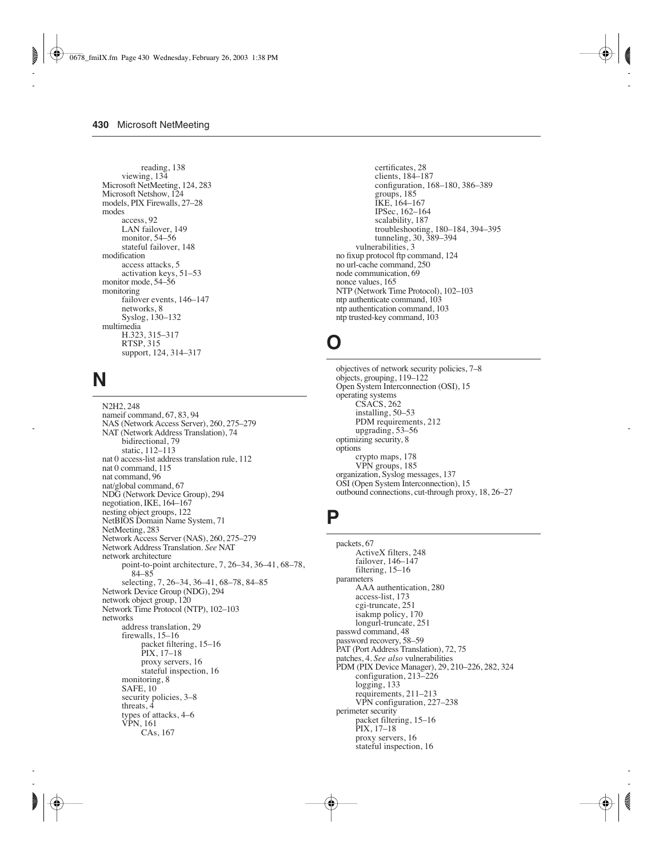reading, 138 viewing, 134 Microsoft NetMeeting, 124, 283 Microsoft Netshow, 124 models, PIX Firewalls, 27–28 modes access, 92 LAN failover, 149 monitor, 54–56 stateful failover, 148 modification access attacks, 5 activation keys, 51–53 monitor mode, 54–56 monitoring failover events, 146–147 networks, 8 Syslog, 130–132 multimedia H.323, 315–317 RTSP, 315 support, 124, 314–317

## **N**

N2H2, 248 nameif command, 67, 83, 94 NAS (Network Access Server), 260, 275–279 NAT (Network Address Translation), 74 bidirectional, 79 static, 112–113 nat 0 access-list address translation rule, 112 nat 0 command, 115 nat command, 96 nat/global command, 67 NDG (Network Device Group), 294 negotiation, IKE, 164–167 nesting object groups, 122 NetBIOS Domain Name System, 71 NetMeeting, 283 Network Access Server (NAS), 260, 275–279 Network Address Translation. *See* NAT network architecture point-to-point architecture, 7, 26–34, 36–41, 68–78, 84–85 selecting, 7, 26–34, 36–41, 68–78, 84–85 Network Device Group (NDG), 294 network object group, 120 Network Time Protocol (NTP), 102–103 networks address translation, 29 firewalls, 15–16 packet filtering, 15–16 PIX, 17–18 proxy servers, 16 stateful inspection, 16 monitoring, 8 SAFE, 10 security policies, 3–8 threats, 4 types of attacks, 4–6 VPN, 161 CAs, 167

certificates, 28 clients, 184–187 configuration, 168–180, 386–389 groups, 185 IKE, 164–167 IPSec, 162–164 scalability, 187 troubleshooting, 180–184, 394–395 tunneling, 30, 389–394 vulnerabilities, 3 no fixup protocol ftp command, 124 no url-cache command, 250 node communication, 69 nonce values, 165 NTP (Network Time Protocol), 102–103 ntp authenticate command, 103 ntp authentication command, 103 ntp trusted-key command, 103

## **O**

objectives of network security policies, 7–8 objects, grouping, 119–122 Open System Interconnection (OSI), 15 operating systems CSACS, 262 installing, 50–53 PDM requirements, 212 upgrading, 53–56 optimizing security, 8 options crypto maps, 178 VPN groups, 185 organization, Syslog messages, 137 OSI (Open System Interconnection), 15 outbound connections, cut-through proxy, 18, 26–27

#### **P**

packets, 67 ActiveX filters, 248 failover, 146–147 filtering, 15–16 parameters AAA authentication, 280 access-list, 173 cgi-truncate, 251 isakmp policy, 170 longurl-truncate, 251 passwd command, 48 password recovery, 58–59 PAT (Port Address Translation), 72, 75 patches, 4. *See also* vulnerabilities PDM (PIX Device Manager), 29, 210–226, 282, 324 configuration, 213–226 logging, 133 requirements, 211–213 VPN configuration, 227–238 perimeter security packet filtering, 15–16 PIX, 17–18 proxy servers, 16 stateful inspection, 16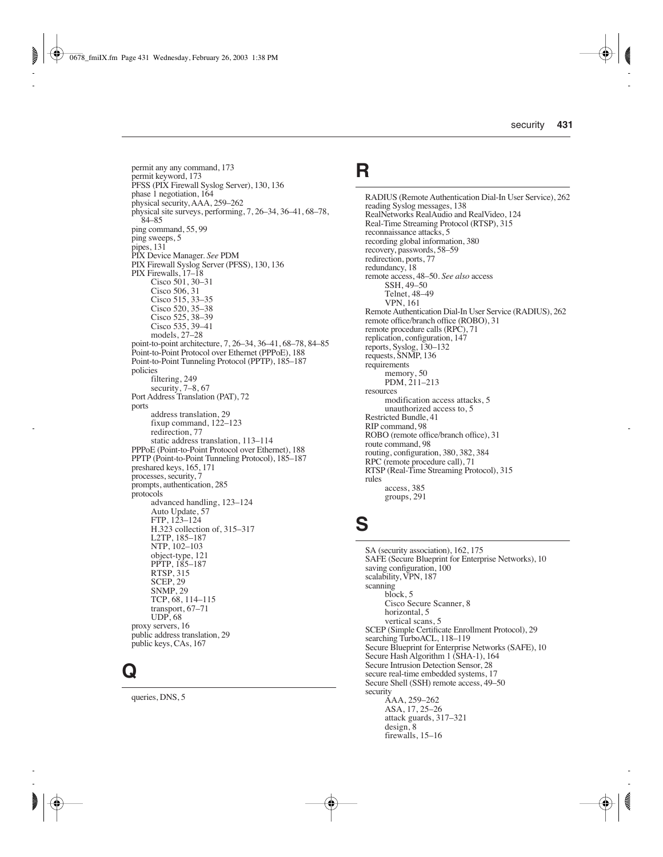permit any any command, 173 permit keyword, 173 PFSS (PIX Firewall Syslog Server), 130, 136 phase 1 negotiation, 164 physical security, AAA, 259–262 physical site surveys, performing, 7, 26–34, 36–41, 68–78, 84–85 ping command, 55, 99 ping sweeps, 5 pipes, 131 PIX Device Manager. *See* PDM PIX Firewall Syslog Server (PFSS), 130, 136 PIX Firewalls, 17–18 Cisco 501, 30–31 Cisco 506, 31 Cisco 515, 33–35 Cisco 520, 35–38 Cisco 525, 38–39 Cisco 535, 39–41 models, 27–28 point-to-point architecture, 7, 26–34, 36–41, 68–78, 84–85 Point-to-Point Protocol over Ethernet (PPPoE), 188 Point-to-Point Tunneling Protocol (PPTP), 185–187 policies filtering, 249 security, 7–8, 67 Port Address Translation (PAT), 72 ports address translation, 29 fixup command, 122–123 redirection, 77 static address translation, 113–114 PPPoE (Point-to-Point Protocol over Ethernet), 188 PPTP (Point-to-Point Tunneling Protocol), 185–187 preshared keys, 165, 171 processes, security, 7 prompts, authentication, 285 protocols advanced handling, 123–124 Auto Update, 57 FTP, 123–124 H.323 collection of, 315–317 L2TP, 185–187 NTP, 102–103 object-type, 121 PPTP, 185–187 RTSP, 315 SCEP, 29 SNMP, 29 TCP, 68, 114–115 transport, 67–71 UDP, 68 proxy servers, 16 public address translation, 29 public keys, CAs, 167

#### **Q**

queries, DNS, 5

#### **R**

RADIUS (Remote Authentication Dial-In User Service), 262 reading Syslog messages, 138 RealNetworks RealAudio and RealVideo, 124 Real-Time Streaming Protocol (RTSP), 315 reconnaissance attacks, 5 recording global information, 380 recovery, passwords, 58–59 redirection, ports, 77 redundancy, 18 remote access, 48–50. *See also* access SSH, 49–50 Telnet, 48–49 VPN, 161 Remote Authentication Dial-In User Service (RADIUS), 262 remote office/branch office (ROBO), 31 remote procedure calls (RPC), 71 replication, configuration, 147 reports, Syslog, 130–132 requests, SNMP, 136 requirements memory, 50<br>PDM, 211-213 resources<br>modification access attacks, 5 unauthorized access to, 5 Restricted Bundle, 41 RIP command, 98 ROBO (remote office/branch office), 31 route command, 98 routing, configuration, 380, 382, 384 RPC (remote procedure call), 71 RTSP (Real-Time Streaming Protocol), 315 rules access, 385 groups, 291

#### **S**

SA (security association), 162, 175 SAFE (Secure Blueprint for Enterprise Networks), 10 saving configuration, 100 scalability, VPN, 187 scanning block, 5 Cisco Secure Scanner, 8 horizontal, 5 vertical scans, 5 SCEP (Simple Certificate Enrollment Protocol), 29 searching TurboACL, 118–119 Secure Blueprint for Enterprise Networks (SAFE), 10 Secure Hash Algorithm 1 (SHA-1), 164 Secure Intrusion Detection Sensor, 28 secure real-time embedded systems, 17 Secure Shell (SSH) remote access, 49–50 security AAA, 259–262 ASA, 17, 25–26 attack guards, 317–321 design, 8 firewalls, 15–16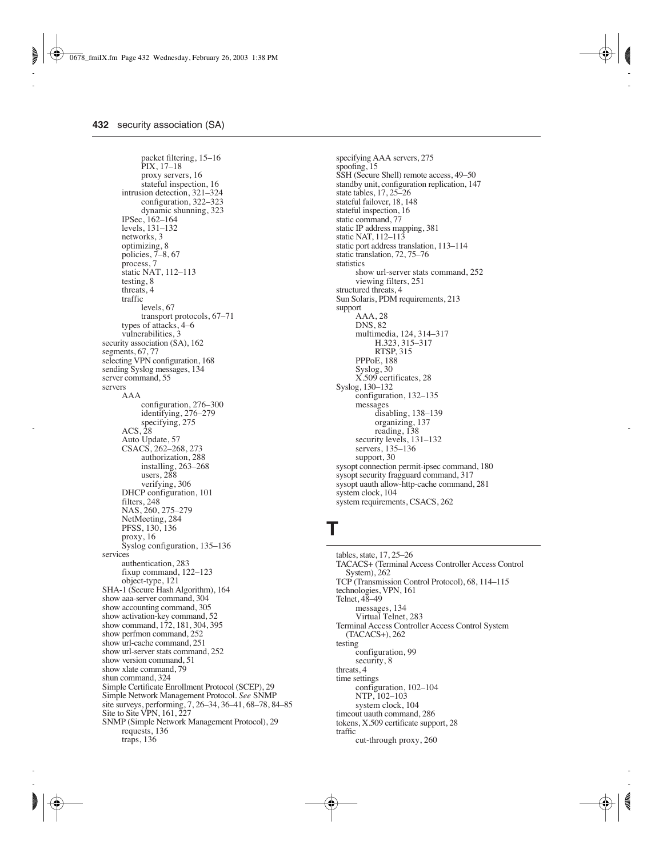packet filtering, 15–16 PIX, 17–18 proxy servers, 16 stateful inspection, 16 intrusion detection, 321–324 configuration, 322–323 dynamic shunning, 323 IPSec, 162–164 levels, 131–132 networks, 3 optimizing, 8 policies, 7–8, 67 process, 7 static NAT, 112–113 testing, 8 threats, 4 traffic levels, 67 transport protocols, 67–71 types of attacks, 4–6 vulnerabilities, 3 security association (SA), 162 segments, 67, 77 selecting VPN configuration, 168 sending Syslog messages, 134 server command, 55 servers<br>AAA configuration, 276–300 identifying, 276–279 specifying, 275 ACS, 28 Auto Update, 57 CSACS, 262–268, 273 authorization, 288 installing, 263–268 users, 288 verifying, 306 DHCP configuration, 101 filters, 248 NAS, 260, 275–279 NetMeeting, 284 PFSS, 130, 136 proxy, 16 Syslog configuration, 135–136 services authentication, 283 fixup command, 122–123 object-type, 121 SHA-1 (Secure Hash Algorithm), 164 show aaa-server command, 304 show accounting command, 305 show activation-key command, 52 show command, 172, 181, 304, 395 show perfmon command, 252 show url-cache command, 251 show url-server stats command, 252 show version command, 51 show xlate command, 79 shun command, 324 Simple Certificate Enrollment Protocol (SCEP), 29 Simple Network Management Protocol. *See* SNMP site surveys, performing, 7, 26–34, 36–41, 68–78, 84–85 Site to Site VPN, 161, 227 SNMP (Simple Network Management Protocol), 29 requests, 136 traps, 136

specifying AAA servers, 275 spoofing, 15 SSH (Secure Shell) remote access, 49–50 standby unit, configuration replication, 147 state tables, 17, 25–26 stateful failover, 18, 148 stateful inspection, 16 static command, 77 static IP address mapping, 381 static NAT, 112–113 static port address translation, 113–114 static translation, 72, 75–76 statistics show url-server stats command, 252 viewing filters, 251 structured threats, 4 Sun Solaris, PDM requirements, 213 support AAA, 28 DNS, 82 multimedia, 124, 314–317 H.323, 315–317 RTSP, 315 PPPoE, 188 Syslog, 30 X.509 certificates, 28 Syslog, 130–132 configuration, 132–135 messages disabling, 138–139 organizing, 137 reading, 138 security levels, 131–132 servers, 135–136 support, 30 sysopt connection permit-ipsec command, 180 sysopt security fragguard command, 317 sysopt uauth allow-http-cache command, 281 system clock, 104 system requirements, CSACS, 262

#### **T**

tables, state, 17, 25–26 TACACS+ (Terminal Access Controller Access Control System), 262 TCP (Transmission Control Protocol), 68, 114–115 technologies, VPN, 161 Telnet, 48–49 messages, 134 Virtual Telnet, 283 Terminal Access Controller Access Control System (TACACS+), 262 testing configuration, 99 security, 8 threats, 4 time settings configuration, 102–104 NTP, 102–103 system clock, 104 timeout uauth command, 286 tokens, X.509 certificate support, 28 traffic cut-through proxy, 260